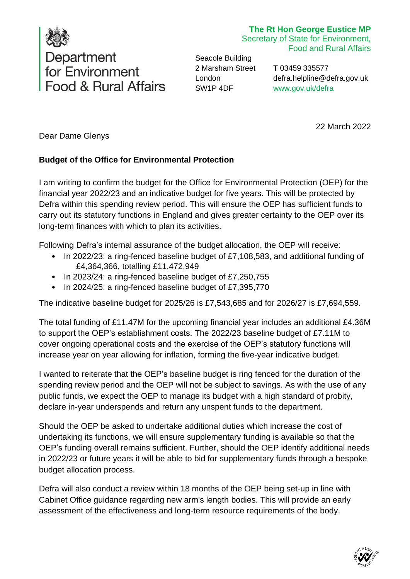

## **The Rt Hon George Eustice MP**

Secretary of State for Environment, Food and Rural Affairs

Seacole Building 2 Marsham Street London SW1P 4DF

T 03459 335577 [defra.helpline@defra.gov.uk](mailto:defra.helpline@defra.gov.uk) [www.gov.uk/defra](http://www.gov.uk/defra)

22 March 2022

Dear Dame Glenys

## **Budget of the Office for Environmental Protection**

I am writing to confirm the budget for the Office for Environmental Protection (OEP) for the financial year 2022/23 and an indicative budget for five years. This will be protected by Defra within this spending review period. This will ensure the OEP has sufficient funds to carry out its statutory functions in England and gives greater certainty to the OEP over its long-term finances with which to plan its activities.

Following Defra's internal assurance of the budget allocation, the OEP will receive:

- In 2022/23: a ring-fenced baseline budget of £7,108,583, and additional funding of £4,364,366, totalling £11,472,949
- In 2023/24: a ring-fenced baseline budget of £7,250,755
- In 2024/25: a ring-fenced baseline budget of £7,395,770

The indicative baseline budget for 2025/26 is £7,543,685 and for 2026/27 is £7,694,559.

The total funding of £11.47M for the upcoming financial year includes an additional £4.36M to support the OEP's establishment costs. The 2022/23 baseline budget of £7.11M to cover ongoing operational costs and the exercise of the OEP's statutory functions will increase year on year allowing for inflation, forming the five-year indicative budget.

I wanted to reiterate that the OEP's baseline budget is ring fenced for the duration of the spending review period and the OEP will not be subject to savings. As with the use of any public funds, we expect the OEP to manage its budget with a high standard of probity, declare in-year underspends and return any unspent funds to the department.

Should the OEP be asked to undertake additional duties which increase the cost of undertaking its functions, we will ensure supplementary funding is available so that the OEP's funding overall remains sufficient. Further, should the OEP identify additional needs in 2022/23 or future years it will be able to bid for supplementary funds through a bespoke budget allocation process.

Defra will also conduct a review within 18 months of the OEP being set-up in line with Cabinet Office guidance regarding new arm's length bodies. This will provide an early assessment of the effectiveness and long-term resource requirements of the body.